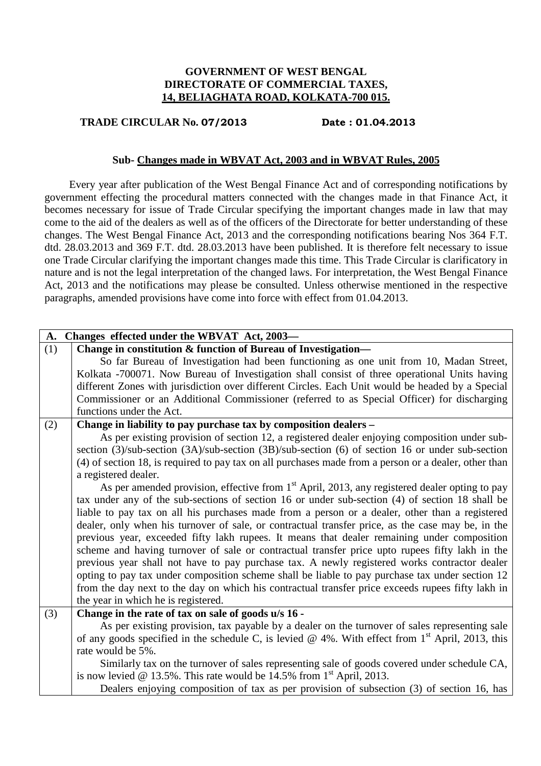# **GOVERNMENT OF WEST BENGAL DIRECTORATE OF COMMERCIAL TAXES, 14, BELIAGHATA ROAD, KOLKATA-700 015.**

# **TRADE CIRCULAR No. 07/2013 Date : 01.04.2013**

### **Sub- Changes made in WBVAT Act, 2003 and in WBVAT Rules, 2005**

 Every year after publication of the West Bengal Finance Act and of corresponding notifications by government effecting the procedural matters connected with the changes made in that Finance Act, it becomes necessary for issue of Trade Circular specifying the important changes made in law that may come to the aid of the dealers as well as of the officers of the Directorate for better understanding of these changes. The West Bengal Finance Act, 2013 and the corresponding notifications bearing Nos 364 F.T. dtd. 28.03.2013 and 369 F.T. dtd. 28.03.2013 have been published. It is therefore felt necessary to issue one Trade Circular clarifying the important changes made this time. This Trade Circular is clarificatory in nature and is not the legal interpretation of the changed laws. For interpretation, the West Bengal Finance Act, 2013 and the notifications may please be consulted. Unless otherwise mentioned in the respective paragraphs, amended provisions have come into force with effect from 01.04.2013.

| A.  | Changes effected under the WBVAT Act, 2003-                                                               |
|-----|-----------------------------------------------------------------------------------------------------------|
| (1) | Change in constitution & function of Bureau of Investigation-                                             |
|     | So far Bureau of Investigation had been functioning as one unit from 10, Madan Street,                    |
|     | Kolkata -700071. Now Bureau of Investigation shall consist of three operational Units having              |
|     | different Zones with jurisdiction over different Circles. Each Unit would be headed by a Special          |
|     | Commissioner or an Additional Commissioner (referred to as Special Officer) for discharging               |
|     | functions under the Act.                                                                                  |
| (2) | Change in liability to pay purchase tax by composition dealers -                                          |
|     | As per existing provision of section 12, a registered dealer enjoying composition under sub-              |
|     | section (3)/sub-section (3A)/sub-section (3B)/sub-section (6) of section 16 or under sub-section          |
|     | (4) of section 18, is required to pay tax on all purchases made from a person or a dealer, other than     |
|     | a registered dealer.                                                                                      |
|     | As per amended provision, effective from 1 <sup>st</sup> April, 2013, any registered dealer opting to pay |
|     | tax under any of the sub-sections of section 16 or under sub-section (4) of section 18 shall be           |
|     | liable to pay tax on all his purchases made from a person or a dealer, other than a registered            |
|     | dealer, only when his turnover of sale, or contractual transfer price, as the case may be, in the         |
|     | previous year, exceeded fifty lakh rupees. It means that dealer remaining under composition               |
|     | scheme and having turnover of sale or contractual transfer price upto rupees fifty lakh in the            |
|     | previous year shall not have to pay purchase tax. A newly registered works contractor dealer              |
|     | opting to pay tax under composition scheme shall be liable to pay purchase tax under section 12           |
|     | from the day next to the day on which his contractual transfer price exceeds rupees fifty lakh in         |
|     | the year in which he is registered.                                                                       |
| (3) | Change in the rate of tax on sale of goods u/s 16 -                                                       |
|     | As per existing provision, tax payable by a dealer on the turnover of sales representing sale             |
|     | of any goods specified in the schedule C, is levied @ 4%. With effect from $1st$ April, 2013, this        |
|     | rate would be 5%.                                                                                         |
|     | Similarly tax on the turnover of sales representing sale of goods covered under schedule CA,              |
|     | is now levied @ 13.5%. This rate would be 14.5% from $1st$ April, 2013.                                   |
|     | Dealers enjoying composition of tax as per provision of subsection (3) of section 16, has                 |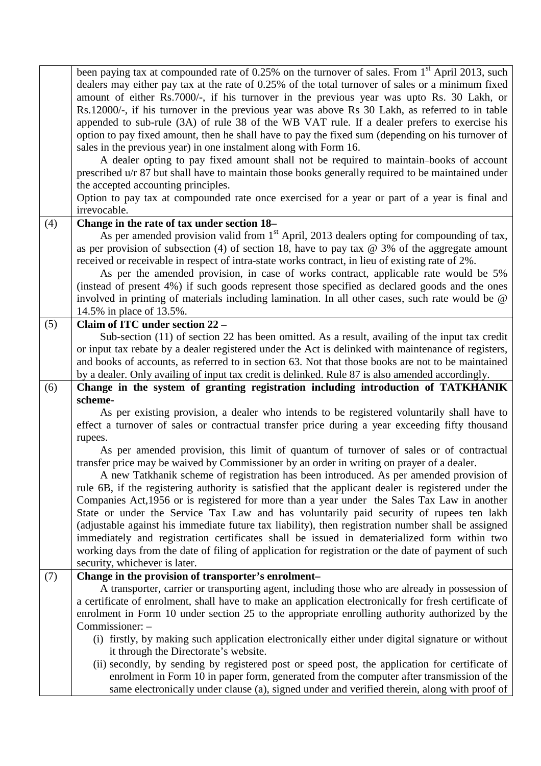| been paying tax at compounded rate of 0.25% on the turnover of sales. From 1 <sup>st</sup> April 2013, such<br>dealers may either pay tax at the rate of 0.25% of the total turnover of sales or a minimum fixed<br>amount of either Rs.7000/-, if his turnover in the previous year was upto Rs. 30 Lakh, or<br>Rs.12000/-, if his turnover in the previous year was above Rs 30 Lakh, as referred to in table<br>appended to sub-rule (3A) of rule 38 of the WB VAT rule. If a dealer prefers to exercise his<br>option to pay fixed amount, then he shall have to pay the fixed sum (depending on his turnover of<br>sales in the previous year) in one instalment along with Form 16.<br>A dealer opting to pay fixed amount shall not be required to maintain-books of account<br>prescribed u/r 87 but shall have to maintain those books generally required to be maintained under<br>the accepted accounting principles.<br>Option to pay tax at compounded rate once exercised for a year or part of a year is final and<br>irrevocable.<br>Change in the rate of tax under section 18-<br>(4)<br>As per amended provision valid from 1 <sup>st</sup> April, 2013 dealers opting for compounding of tax,<br>as per provision of subsection (4) of section 18, have to pay tax $@$ 3% of the aggregate amount<br>received or receivable in respect of intra-state works contract, in lieu of existing rate of 2%.<br>As per the amended provision, in case of works contract, applicable rate would be 5%<br>(instead of present 4%) if such goods represent those specified as declared goods and the ones<br>involved in printing of materials including lamination. In all other cases, such rate would be @ |
|-------------------------------------------------------------------------------------------------------------------------------------------------------------------------------------------------------------------------------------------------------------------------------------------------------------------------------------------------------------------------------------------------------------------------------------------------------------------------------------------------------------------------------------------------------------------------------------------------------------------------------------------------------------------------------------------------------------------------------------------------------------------------------------------------------------------------------------------------------------------------------------------------------------------------------------------------------------------------------------------------------------------------------------------------------------------------------------------------------------------------------------------------------------------------------------------------------------------------------------------------------------------------------------------------------------------------------------------------------------------------------------------------------------------------------------------------------------------------------------------------------------------------------------------------------------------------------------------------------------------------------------------------------------------------------------------------------------------------|
|                                                                                                                                                                                                                                                                                                                                                                                                                                                                                                                                                                                                                                                                                                                                                                                                                                                                                                                                                                                                                                                                                                                                                                                                                                                                                                                                                                                                                                                                                                                                                                                                                                                                                                                         |
|                                                                                                                                                                                                                                                                                                                                                                                                                                                                                                                                                                                                                                                                                                                                                                                                                                                                                                                                                                                                                                                                                                                                                                                                                                                                                                                                                                                                                                                                                                                                                                                                                                                                                                                         |
|                                                                                                                                                                                                                                                                                                                                                                                                                                                                                                                                                                                                                                                                                                                                                                                                                                                                                                                                                                                                                                                                                                                                                                                                                                                                                                                                                                                                                                                                                                                                                                                                                                                                                                                         |
|                                                                                                                                                                                                                                                                                                                                                                                                                                                                                                                                                                                                                                                                                                                                                                                                                                                                                                                                                                                                                                                                                                                                                                                                                                                                                                                                                                                                                                                                                                                                                                                                                                                                                                                         |
|                                                                                                                                                                                                                                                                                                                                                                                                                                                                                                                                                                                                                                                                                                                                                                                                                                                                                                                                                                                                                                                                                                                                                                                                                                                                                                                                                                                                                                                                                                                                                                                                                                                                                                                         |
|                                                                                                                                                                                                                                                                                                                                                                                                                                                                                                                                                                                                                                                                                                                                                                                                                                                                                                                                                                                                                                                                                                                                                                                                                                                                                                                                                                                                                                                                                                                                                                                                                                                                                                                         |
|                                                                                                                                                                                                                                                                                                                                                                                                                                                                                                                                                                                                                                                                                                                                                                                                                                                                                                                                                                                                                                                                                                                                                                                                                                                                                                                                                                                                                                                                                                                                                                                                                                                                                                                         |
|                                                                                                                                                                                                                                                                                                                                                                                                                                                                                                                                                                                                                                                                                                                                                                                                                                                                                                                                                                                                                                                                                                                                                                                                                                                                                                                                                                                                                                                                                                                                                                                                                                                                                                                         |
|                                                                                                                                                                                                                                                                                                                                                                                                                                                                                                                                                                                                                                                                                                                                                                                                                                                                                                                                                                                                                                                                                                                                                                                                                                                                                                                                                                                                                                                                                                                                                                                                                                                                                                                         |
|                                                                                                                                                                                                                                                                                                                                                                                                                                                                                                                                                                                                                                                                                                                                                                                                                                                                                                                                                                                                                                                                                                                                                                                                                                                                                                                                                                                                                                                                                                                                                                                                                                                                                                                         |
|                                                                                                                                                                                                                                                                                                                                                                                                                                                                                                                                                                                                                                                                                                                                                                                                                                                                                                                                                                                                                                                                                                                                                                                                                                                                                                                                                                                                                                                                                                                                                                                                                                                                                                                         |
|                                                                                                                                                                                                                                                                                                                                                                                                                                                                                                                                                                                                                                                                                                                                                                                                                                                                                                                                                                                                                                                                                                                                                                                                                                                                                                                                                                                                                                                                                                                                                                                                                                                                                                                         |
|                                                                                                                                                                                                                                                                                                                                                                                                                                                                                                                                                                                                                                                                                                                                                                                                                                                                                                                                                                                                                                                                                                                                                                                                                                                                                                                                                                                                                                                                                                                                                                                                                                                                                                                         |
|                                                                                                                                                                                                                                                                                                                                                                                                                                                                                                                                                                                                                                                                                                                                                                                                                                                                                                                                                                                                                                                                                                                                                                                                                                                                                                                                                                                                                                                                                                                                                                                                                                                                                                                         |
|                                                                                                                                                                                                                                                                                                                                                                                                                                                                                                                                                                                                                                                                                                                                                                                                                                                                                                                                                                                                                                                                                                                                                                                                                                                                                                                                                                                                                                                                                                                                                                                                                                                                                                                         |
|                                                                                                                                                                                                                                                                                                                                                                                                                                                                                                                                                                                                                                                                                                                                                                                                                                                                                                                                                                                                                                                                                                                                                                                                                                                                                                                                                                                                                                                                                                                                                                                                                                                                                                                         |
|                                                                                                                                                                                                                                                                                                                                                                                                                                                                                                                                                                                                                                                                                                                                                                                                                                                                                                                                                                                                                                                                                                                                                                                                                                                                                                                                                                                                                                                                                                                                                                                                                                                                                                                         |
|                                                                                                                                                                                                                                                                                                                                                                                                                                                                                                                                                                                                                                                                                                                                                                                                                                                                                                                                                                                                                                                                                                                                                                                                                                                                                                                                                                                                                                                                                                                                                                                                                                                                                                                         |
| 14.5% in place of 13.5%.                                                                                                                                                                                                                                                                                                                                                                                                                                                                                                                                                                                                                                                                                                                                                                                                                                                                                                                                                                                                                                                                                                                                                                                                                                                                                                                                                                                                                                                                                                                                                                                                                                                                                                |
| (5)<br>Claim of ITC under section 22 -                                                                                                                                                                                                                                                                                                                                                                                                                                                                                                                                                                                                                                                                                                                                                                                                                                                                                                                                                                                                                                                                                                                                                                                                                                                                                                                                                                                                                                                                                                                                                                                                                                                                                  |
| Sub-section (11) of section 22 has been omitted. As a result, availing of the input tax credit                                                                                                                                                                                                                                                                                                                                                                                                                                                                                                                                                                                                                                                                                                                                                                                                                                                                                                                                                                                                                                                                                                                                                                                                                                                                                                                                                                                                                                                                                                                                                                                                                          |
| or input tax rebate by a dealer registered under the Act is delinked with maintenance of registers,                                                                                                                                                                                                                                                                                                                                                                                                                                                                                                                                                                                                                                                                                                                                                                                                                                                                                                                                                                                                                                                                                                                                                                                                                                                                                                                                                                                                                                                                                                                                                                                                                     |
| and books of accounts, as referred to in section 63. Not that those books are not to be maintained                                                                                                                                                                                                                                                                                                                                                                                                                                                                                                                                                                                                                                                                                                                                                                                                                                                                                                                                                                                                                                                                                                                                                                                                                                                                                                                                                                                                                                                                                                                                                                                                                      |
| by a dealer. Only availing of input tax credit is delinked. Rule 87 is also amended accordingly.                                                                                                                                                                                                                                                                                                                                                                                                                                                                                                                                                                                                                                                                                                                                                                                                                                                                                                                                                                                                                                                                                                                                                                                                                                                                                                                                                                                                                                                                                                                                                                                                                        |
| Change in the system of granting registration including introduction of TATKHANIK<br>(6)                                                                                                                                                                                                                                                                                                                                                                                                                                                                                                                                                                                                                                                                                                                                                                                                                                                                                                                                                                                                                                                                                                                                                                                                                                                                                                                                                                                                                                                                                                                                                                                                                                |
| scheme-                                                                                                                                                                                                                                                                                                                                                                                                                                                                                                                                                                                                                                                                                                                                                                                                                                                                                                                                                                                                                                                                                                                                                                                                                                                                                                                                                                                                                                                                                                                                                                                                                                                                                                                 |
| As per existing provision, a dealer who intends to be registered voluntarily shall have to                                                                                                                                                                                                                                                                                                                                                                                                                                                                                                                                                                                                                                                                                                                                                                                                                                                                                                                                                                                                                                                                                                                                                                                                                                                                                                                                                                                                                                                                                                                                                                                                                              |
| effect a turnover of sales or contractual transfer price during a year exceeding fifty thousand                                                                                                                                                                                                                                                                                                                                                                                                                                                                                                                                                                                                                                                                                                                                                                                                                                                                                                                                                                                                                                                                                                                                                                                                                                                                                                                                                                                                                                                                                                                                                                                                                         |
| rupees.                                                                                                                                                                                                                                                                                                                                                                                                                                                                                                                                                                                                                                                                                                                                                                                                                                                                                                                                                                                                                                                                                                                                                                                                                                                                                                                                                                                                                                                                                                                                                                                                                                                                                                                 |
| As per amended provision, this limit of quantum of turnover of sales or of contractual                                                                                                                                                                                                                                                                                                                                                                                                                                                                                                                                                                                                                                                                                                                                                                                                                                                                                                                                                                                                                                                                                                                                                                                                                                                                                                                                                                                                                                                                                                                                                                                                                                  |
| transfer price may be waived by Commissioner by an order in writing on prayer of a dealer.                                                                                                                                                                                                                                                                                                                                                                                                                                                                                                                                                                                                                                                                                                                                                                                                                                                                                                                                                                                                                                                                                                                                                                                                                                                                                                                                                                                                                                                                                                                                                                                                                              |
| A new Tatkhanik scheme of registration has been introduced. As per amended provision of                                                                                                                                                                                                                                                                                                                                                                                                                                                                                                                                                                                                                                                                                                                                                                                                                                                                                                                                                                                                                                                                                                                                                                                                                                                                                                                                                                                                                                                                                                                                                                                                                                 |
| rule 6B, if the registering authority is satisfied that the applicant dealer is registered under the                                                                                                                                                                                                                                                                                                                                                                                                                                                                                                                                                                                                                                                                                                                                                                                                                                                                                                                                                                                                                                                                                                                                                                                                                                                                                                                                                                                                                                                                                                                                                                                                                    |
| Companies Act, 1956 or is registered for more than a year under the Sales Tax Law in another                                                                                                                                                                                                                                                                                                                                                                                                                                                                                                                                                                                                                                                                                                                                                                                                                                                                                                                                                                                                                                                                                                                                                                                                                                                                                                                                                                                                                                                                                                                                                                                                                            |
| State or under the Service Tax Law and has voluntarily paid security of rupees ten lakh                                                                                                                                                                                                                                                                                                                                                                                                                                                                                                                                                                                                                                                                                                                                                                                                                                                                                                                                                                                                                                                                                                                                                                                                                                                                                                                                                                                                                                                                                                                                                                                                                                 |
| (adjustable against his immediate future tax liability), then registration number shall be assigned                                                                                                                                                                                                                                                                                                                                                                                                                                                                                                                                                                                                                                                                                                                                                                                                                                                                                                                                                                                                                                                                                                                                                                                                                                                                                                                                                                                                                                                                                                                                                                                                                     |
| immediately and registration certificates shall be issued in dematerialized form within two                                                                                                                                                                                                                                                                                                                                                                                                                                                                                                                                                                                                                                                                                                                                                                                                                                                                                                                                                                                                                                                                                                                                                                                                                                                                                                                                                                                                                                                                                                                                                                                                                             |
| working days from the date of filing of application for registration or the date of payment of such                                                                                                                                                                                                                                                                                                                                                                                                                                                                                                                                                                                                                                                                                                                                                                                                                                                                                                                                                                                                                                                                                                                                                                                                                                                                                                                                                                                                                                                                                                                                                                                                                     |
| security, whichever is later.                                                                                                                                                                                                                                                                                                                                                                                                                                                                                                                                                                                                                                                                                                                                                                                                                                                                                                                                                                                                                                                                                                                                                                                                                                                                                                                                                                                                                                                                                                                                                                                                                                                                                           |
| Change in the provision of transporter's enrolment-<br>(7)<br>A transporter, carrier or transporting agent, including those who are already in possession of                                                                                                                                                                                                                                                                                                                                                                                                                                                                                                                                                                                                                                                                                                                                                                                                                                                                                                                                                                                                                                                                                                                                                                                                                                                                                                                                                                                                                                                                                                                                                            |
| a certificate of enrolment, shall have to make an application electronically for fresh certificate of                                                                                                                                                                                                                                                                                                                                                                                                                                                                                                                                                                                                                                                                                                                                                                                                                                                                                                                                                                                                                                                                                                                                                                                                                                                                                                                                                                                                                                                                                                                                                                                                                   |
| enrolment in Form 10 under section 25 to the appropriate enrolling authority authorized by the                                                                                                                                                                                                                                                                                                                                                                                                                                                                                                                                                                                                                                                                                                                                                                                                                                                                                                                                                                                                                                                                                                                                                                                                                                                                                                                                                                                                                                                                                                                                                                                                                          |
| Commissioner: -                                                                                                                                                                                                                                                                                                                                                                                                                                                                                                                                                                                                                                                                                                                                                                                                                                                                                                                                                                                                                                                                                                                                                                                                                                                                                                                                                                                                                                                                                                                                                                                                                                                                                                         |
| (i) firstly, by making such application electronically either under digital signature or without                                                                                                                                                                                                                                                                                                                                                                                                                                                                                                                                                                                                                                                                                                                                                                                                                                                                                                                                                                                                                                                                                                                                                                                                                                                                                                                                                                                                                                                                                                                                                                                                                        |
| it through the Directorate's website.                                                                                                                                                                                                                                                                                                                                                                                                                                                                                                                                                                                                                                                                                                                                                                                                                                                                                                                                                                                                                                                                                                                                                                                                                                                                                                                                                                                                                                                                                                                                                                                                                                                                                   |
| (ii) secondly, by sending by registered post or speed post, the application for certificate of                                                                                                                                                                                                                                                                                                                                                                                                                                                                                                                                                                                                                                                                                                                                                                                                                                                                                                                                                                                                                                                                                                                                                                                                                                                                                                                                                                                                                                                                                                                                                                                                                          |
| enrolment in Form 10 in paper form, generated from the computer after transmission of the                                                                                                                                                                                                                                                                                                                                                                                                                                                                                                                                                                                                                                                                                                                                                                                                                                                                                                                                                                                                                                                                                                                                                                                                                                                                                                                                                                                                                                                                                                                                                                                                                               |
| same electronically under clause (a), signed under and verified therein, along with proof of                                                                                                                                                                                                                                                                                                                                                                                                                                                                                                                                                                                                                                                                                                                                                                                                                                                                                                                                                                                                                                                                                                                                                                                                                                                                                                                                                                                                                                                                                                                                                                                                                            |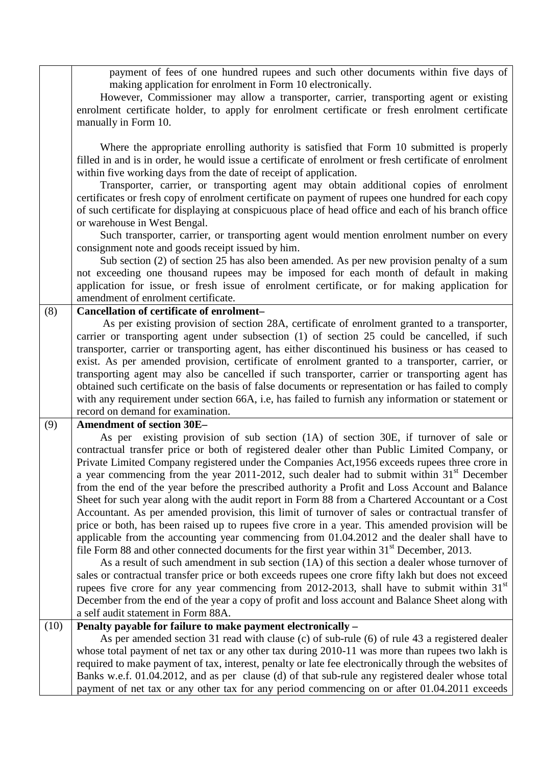payment of fees of one hundred rupees and such other documents within five days of making application for enrolment in Form 10 electronically.

However, Commissioner may allow a transporter, carrier, transporting agent or existing enrolment certificate holder, to apply for enrolment certificate or fresh enrolment certificate manually in Form 10.

Where the appropriate enrolling authority is satisfied that Form 10 submitted is properly filled in and is in order, he would issue a certificate of enrolment or fresh certificate of enrolment within five working days from the date of receipt of application.

Transporter, carrier, or transporting agent may obtain additional copies of enrolment certificates or fresh copy of enrolment certificate on payment of rupees one hundred for each copy of such certificate for displaying at conspicuous place of head office and each of his branch office or warehouse in West Bengal.

Such transporter, carrier, or transporting agent would mention enrolment number on every consignment note and goods receipt issued by him.

Sub section (2) of section 25 has also been amended. As per new provision penalty of a sum not exceeding one thousand rupees may be imposed for each month of default in making application for issue, or fresh issue of enrolment certificate, or for making application for amendment of enrolment certificate.

# (8) **Cancellation of certificate of enrolment–**

 As per existing provision of section 28A, certificate of enrolment granted to a transporter, carrier or transporting agent under subsection (1) of section 25 could be cancelled, if such transporter, carrier or transporting agent, has either discontinued his business or has ceased to exist. As per amended provision, certificate of enrolment granted to a transporter, carrier, or transporting agent may also be cancelled if such transporter, carrier or transporting agent has obtained such certificate on the basis of false documents or representation or has failed to comply with any requirement under section 66A, i.e, has failed to furnish any information or statement or record on demand for examination.

(9) **Amendment of section 30E–** 

As per existing provision of sub section (1A) of section 30E, if turnover of sale or contractual transfer price or both of registered dealer other than Public Limited Company, or Private Limited Company registered under the Companies Act,1956 exceeds rupees three crore in a year commencing from the year 2011-2012, such dealer had to submit within 31<sup>st</sup> December from the end of the year before the prescribed authority a Profit and Loss Account and Balance Sheet for such year along with the audit report in Form 88 from a Chartered Accountant or a Cost Accountant. As per amended provision, this limit of turnover of sales or contractual transfer of price or both, has been raised up to rupees five crore in a year. This amended provision will be applicable from the accounting year commencing from 01.04.2012 and the dealer shall have to file Form 88 and other connected documents for the first year within  $31<sup>st</sup>$  December, 2013.

As a result of such amendment in sub section (1A) of this section a dealer whose turnover of sales or contractual transfer price or both exceeds rupees one crore fifty lakh but does not exceed rupees five crore for any year commencing from 2012-2013, shall have to submit within  $31<sup>st</sup>$ December from the end of the year a copy of profit and loss account and Balance Sheet along with a self audit statement in Form 88A.

(10) **Penalty payable for failure to make payment electronically –** 

As per amended section 31 read with clause (c) of sub-rule (6) of rule 43 a registered dealer whose total payment of net tax or any other tax during 2010-11 was more than rupees two lakh is required to make payment of tax, interest, penalty or late fee electronically through the websites of Banks w.e.f. 01.04.2012, and as per clause (d) of that sub-rule any registered dealer whose total payment of net tax or any other tax for any period commencing on or after 01.04.2011 exceeds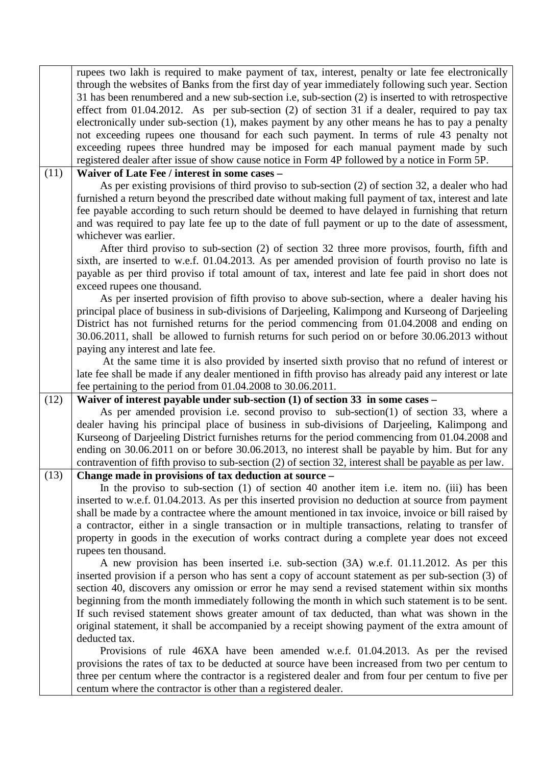|      | rupees two lakh is required to make payment of tax, interest, penalty or late fee electronically<br>through the websites of Banks from the first day of year immediately following such year. Section<br>31 has been renumbered and a new sub-section i.e, sub-section (2) is inserted to with retrospective<br>effect from 01.04.2012. As per sub-section $(2)$ of section 31 if a dealer, required to pay tax<br>electronically under sub-section (1), makes payment by any other means he has to pay a penalty<br>not exceeding rupees one thousand for each such payment. In terms of rule 43 penalty not<br>exceeding rupees three hundred may be imposed for each manual payment made by such<br>registered dealer after issue of show cause notice in Form 4P followed by a notice in Form 5P.                                                                                                                                                                                                                                                                                       |
|------|---------------------------------------------------------------------------------------------------------------------------------------------------------------------------------------------------------------------------------------------------------------------------------------------------------------------------------------------------------------------------------------------------------------------------------------------------------------------------------------------------------------------------------------------------------------------------------------------------------------------------------------------------------------------------------------------------------------------------------------------------------------------------------------------------------------------------------------------------------------------------------------------------------------------------------------------------------------------------------------------------------------------------------------------------------------------------------------------|
| (11) | Waiver of Late Fee / interest in some cases -<br>As per existing provisions of third proviso to sub-section (2) of section 32, a dealer who had<br>furnished a return beyond the prescribed date without making full payment of tax, interest and late<br>fee payable according to such return should be deemed to have delayed in furnishing that return<br>and was required to pay late fee up to the date of full payment or up to the date of assessment,<br>whichever was earlier.<br>After third proviso to sub-section (2) of section 32 three more provisos, fourth, fifth and<br>sixth, are inserted to w.e.f. 01.04.2013. As per amended provision of fourth proviso no late is                                                                                                                                                                                                                                                                                                                                                                                                   |
|      | payable as per third proviso if total amount of tax, interest and late fee paid in short does not<br>exceed rupees one thousand.<br>As per inserted provision of fifth proviso to above sub-section, where a dealer having his<br>principal place of business in sub-divisions of Darjeeling, Kalimpong and Kurseong of Darjeeling<br>District has not furnished returns for the period commencing from 01.04.2008 and ending on<br>30.06.2011, shall be allowed to furnish returns for such period on or before 30.06.2013 without<br>paying any interest and late fee.<br>At the same time it is also provided by inserted sixth proviso that no refund of interest or                                                                                                                                                                                                                                                                                                                                                                                                                    |
|      | late fee shall be made if any dealer mentioned in fifth proviso has already paid any interest or late<br>fee pertaining to the period from 01.04.2008 to 30.06.2011.                                                                                                                                                                                                                                                                                                                                                                                                                                                                                                                                                                                                                                                                                                                                                                                                                                                                                                                        |
| (12) | Waiver of interest payable under sub-section $(1)$ of section 33 in some cases –<br>As per amended provision i.e. second proviso to sub-section(1) of section 33, where a<br>dealer having his principal place of business in sub-divisions of Darjeeling, Kalimpong and<br>Kurseong of Darjeeling District furnishes returns for the period commencing from 01.04.2008 and<br>ending on 30.06.2011 on or before 30.06.2013, no interest shall be payable by him. But for any<br>contravention of fifth proviso to sub-section (2) of section 32, interest shall be payable as per law.                                                                                                                                                                                                                                                                                                                                                                                                                                                                                                     |
| (13) | Change made in provisions of tax deduction at source -<br>In the proviso to sub-section (1) of section 40 another item i.e. item no. (iii) has been<br>inserted to w.e.f. 01.04.2013. As per this inserted provision no deduction at source from payment<br>shall be made by a contractee where the amount mentioned in tax invoice, invoice or bill raised by<br>a contractor, either in a single transaction or in multiple transactions, relating to transfer of<br>property in goods in the execution of works contract during a complete year does not exceed<br>rupees ten thousand.<br>A new provision has been inserted i.e. sub-section (3A) w.e.f. 01.11.2012. As per this<br>inserted provision if a person who has sent a copy of account statement as per sub-section (3) of<br>section 40, discovers any omission or error he may send a revised statement within six months<br>beginning from the month immediately following the month in which such statement is to be sent.<br>If such revised statement shows greater amount of tax deducted, than what was shown in the |
|      | original statement, it shall be accompanied by a receipt showing payment of the extra amount of<br>deducted tax.<br>Provisions of rule 46XA have been amended w.e.f. 01.04.2013. As per the revised<br>provisions the rates of tax to be deducted at source have been increased from two per centum to<br>three per centum where the contractor is a registered dealer and from four per centum to five per<br>centum where the contractor is other than a registered dealer.                                                                                                                                                                                                                                                                                                                                                                                                                                                                                                                                                                                                               |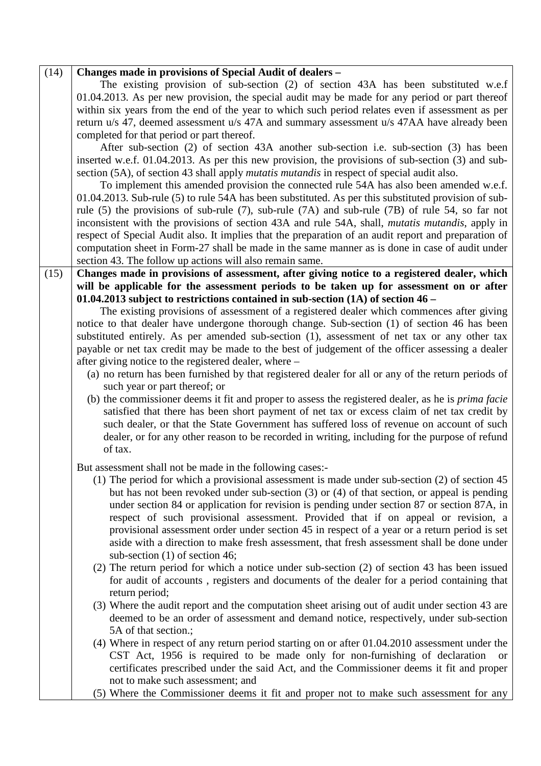| (14) | Changes made in provisions of Special Audit of dealers -                                                                       |
|------|--------------------------------------------------------------------------------------------------------------------------------|
|      | The existing provision of sub-section (2) of section 43A has been substituted w.e.f                                            |
|      | 01.04.2013. As per new provision, the special audit may be made for any period or part thereof                                 |
|      | within six years from the end of the year to which such period relates even if assessment as per                               |
|      | return u/s 47, deemed assessment u/s 47A and summary assessment u/s 47AA have already been                                     |
|      | completed for that period or part thereof.                                                                                     |
|      | After sub-section (2) of section 43A another sub-section i.e. sub-section (3) has been                                         |
|      | inserted w.e.f. 01.04.2013. As per this new provision, the provisions of sub-section (3) and sub-                              |
|      | section (5A), of section 43 shall apply <i>mutatis mutandis</i> in respect of special audit also.                              |
|      | To implement this amended provision the connected rule 54A has also been amended w.e.f.                                        |
|      | 01.04.2013. Sub-rule (5) to rule 54A has been substituted. As per this substituted provision of sub-                           |
|      | rule $(5)$ the provisions of sub-rule $(7)$ , sub-rule $(7A)$ and sub-rule $(7B)$ of rule 54, so far not                       |
|      | inconsistent with the provisions of section 43A and rule 54A, shall, <i>mutatis mutandis</i> , apply in                        |
|      | respect of Special Audit also. It implies that the preparation of an audit report and preparation of                           |
|      | computation sheet in Form-27 shall be made in the same manner as is done in case of audit under                                |
|      | section 43. The follow up actions will also remain same.                                                                       |
| (15) | Changes made in provisions of assessment, after giving notice to a registered dealer, which                                    |
|      | will be applicable for the assessment periods to be taken up for assessment on or after                                        |
|      | 01.04.2013 subject to restrictions contained in sub-section $(1A)$ of section 46 –                                             |
|      | The existing provisions of assessment of a registered dealer which commences after giving                                      |
|      | notice to that dealer have undergone thorough change. Sub-section (1) of section 46 has been                                   |
|      | substituted entirely. As per amended sub-section (1), assessment of net tax or any other tax                                   |
|      | payable or net tax credit may be made to the best of judgement of the officer assessing a dealer                               |
|      | after giving notice to the registered dealer, where –                                                                          |
|      | (a) no return has been furnished by that registered dealer for all or any of the return periods of                             |
|      | such year or part thereof; or                                                                                                  |
|      | (b) the commissioner deems it fit and proper to assess the registered dealer, as he is <i>prima facie</i>                      |
|      | satisfied that there has been short payment of net tax or excess claim of net tax credit by                                    |
|      | such dealer, or that the State Government has suffered loss of revenue on account of such                                      |
|      | dealer, or for any other reason to be recorded in writing, including for the purpose of refund                                 |
|      | of tax.                                                                                                                        |
|      |                                                                                                                                |
|      | But assessment shall not be made in the following cases:-                                                                      |
|      | $(1)$ The period for which a provisional assessment is made under sub-section $(2)$ of section 45                              |
|      | but has not been revoked under sub-section (3) or (4) of that section, or appeal is pending                                    |
|      | under section 84 or application for revision is pending under section 87 or section 87A, in                                    |
|      | respect of such provisional assessment. Provided that if on appeal or revision, a                                              |
|      | provisional assessment order under section 45 in respect of a year or a return period is set                                   |
|      | aside with a direction to make fresh assessment, that fresh assessment shall be done under<br>sub-section $(1)$ of section 46; |
|      |                                                                                                                                |
|      | (2) The return period for which a notice under sub-section (2) of section 43 has been issued                                   |
|      | for audit of accounts, registers and documents of the dealer for a period containing that                                      |
|      | return period;<br>(3) Where the audit report and the computation sheet arising out of audit under section 43 are               |
|      | deemed to be an order of assessment and demand notice, respectively, under sub-section                                         |
|      | 5A of that section.;                                                                                                           |
|      | (4) Where in respect of any return period starting on or after 01.04.2010 assessment under the                                 |
|      | CST Act, 1956 is required to be made only for non-furnishing of declaration<br><sub>or</sub>                                   |
|      | certificates prescribed under the said Act, and the Commissioner deems it fit and proper                                       |
|      | not to make such assessment; and                                                                                               |
|      | (5) Where the Commissioner deems it fit and proper not to make such assessment for any                                         |
|      |                                                                                                                                |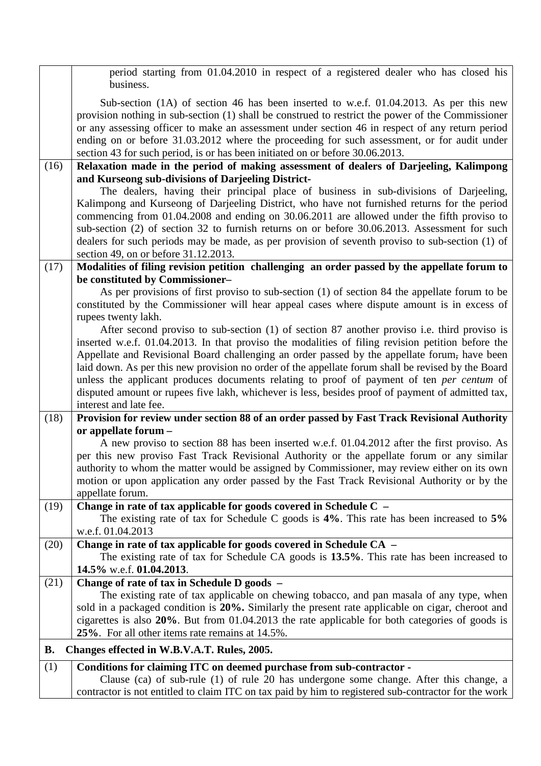|      | period starting from 01.04.2010 in respect of a registered dealer who has closed his<br>business.                                                                                                                                                                                                                                                                                                                                                                                                                                                                                                                                  |
|------|------------------------------------------------------------------------------------------------------------------------------------------------------------------------------------------------------------------------------------------------------------------------------------------------------------------------------------------------------------------------------------------------------------------------------------------------------------------------------------------------------------------------------------------------------------------------------------------------------------------------------------|
|      | Sub-section (1A) of section 46 has been inserted to w.e.f. 01.04.2013. As per this new<br>provision nothing in sub-section (1) shall be construed to restrict the power of the Commissioner<br>or any assessing officer to make an assessment under section 46 in respect of any return period<br>ending on or before 31.03.2012 where the proceeding for such assessment, or for audit under<br>section 43 for such period, is or has been initiated on or before 30.06.2013.                                                                                                                                                     |
| (16) | Relaxation made in the period of making assessment of dealers of Darjeeling, Kalimpong                                                                                                                                                                                                                                                                                                                                                                                                                                                                                                                                             |
|      | and Kurseong sub-divisions of Darjeeling District-                                                                                                                                                                                                                                                                                                                                                                                                                                                                                                                                                                                 |
|      | The dealers, having their principal place of business in sub-divisions of Darjeeling,<br>Kalimpong and Kurseong of Darjeeling District, who have not furnished returns for the period<br>commencing from 01.04.2008 and ending on 30.06.2011 are allowed under the fifth proviso to<br>sub-section (2) of section 32 to furnish returns on or before 30.06.2013. Assessment for such<br>dealers for such periods may be made, as per provision of seventh proviso to sub-section (1) of<br>section 49, on or before 31.12.2013.                                                                                                    |
| (17) | Modalities of filing revision petition challenging an order passed by the appellate forum to                                                                                                                                                                                                                                                                                                                                                                                                                                                                                                                                       |
|      | be constituted by Commissioner-<br>As per provisions of first proviso to sub-section (1) of section 84 the appellate forum to be<br>constituted by the Commissioner will hear appeal cases where dispute amount is in excess of<br>rupees twenty lakh.                                                                                                                                                                                                                                                                                                                                                                             |
|      | After second proviso to sub-section (1) of section 87 another proviso i.e. third proviso is<br>inserted w.e.f. 01.04.2013. In that proviso the modalities of filing revision petition before the<br>Appellate and Revisional Board challenging an order passed by the appellate forum, have been<br>laid down. As per this new provision no order of the appellate forum shall be revised by the Board<br>unless the applicant produces documents relating to proof of payment of ten per centum of<br>disputed amount or rupees five lakh, whichever is less, besides proof of payment of admitted tax,<br>interest and late fee. |
| (18) | Provision for review under section 88 of an order passed by Fast Track Revisional Authority                                                                                                                                                                                                                                                                                                                                                                                                                                                                                                                                        |
|      | or appellate forum -                                                                                                                                                                                                                                                                                                                                                                                                                                                                                                                                                                                                               |
|      | A new proviso to section 88 has been inserted w.e.f. 01.04.2012 after the first proviso. As<br>per this new proviso Fast Track Revisional Authority or the appellate forum or any similar<br>authority to whom the matter would be assigned by Commissioner, may review either on its own<br>motion or upon application any order passed by the Fast Track Revisional Authority or by the<br>appellate forum.                                                                                                                                                                                                                      |
| (19) | Change in rate of tax applicable for goods covered in Schedule C –<br>The existing rate of tax for Schedule C goods is $4\%$ . This rate has been increased to $5\%$<br>w.e.f. 01.04.2013                                                                                                                                                                                                                                                                                                                                                                                                                                          |
| (20) | Change in rate of tax applicable for goods covered in Schedule CA -<br>The existing rate of tax for Schedule CA goods is 13.5%. This rate has been increased to<br>14.5% w.e.f. 01.04.2013.                                                                                                                                                                                                                                                                                                                                                                                                                                        |
| (21) | Change of rate of tax in Schedule D goods -<br>The existing rate of tax applicable on chewing tobacco, and pan masala of any type, when<br>sold in a packaged condition is 20%. Similarly the present rate applicable on cigar, cheroot and<br>cigarettes is also 20%. But from 01.04.2013 the rate applicable for both categories of goods is<br>25%. For all other items rate remains at 14.5%.                                                                                                                                                                                                                                  |
| В.   | Changes effected in W.B.V.A.T. Rules, 2005.                                                                                                                                                                                                                                                                                                                                                                                                                                                                                                                                                                                        |
| (1)  | Conditions for claiming ITC on deemed purchase from sub-contractor -                                                                                                                                                                                                                                                                                                                                                                                                                                                                                                                                                               |
|      | Clause (ca) of sub-rule (1) of rule 20 has undergone some change. After this change, a<br>contractor is not entitled to claim ITC on tax paid by him to registered sub-contractor for the work                                                                                                                                                                                                                                                                                                                                                                                                                                     |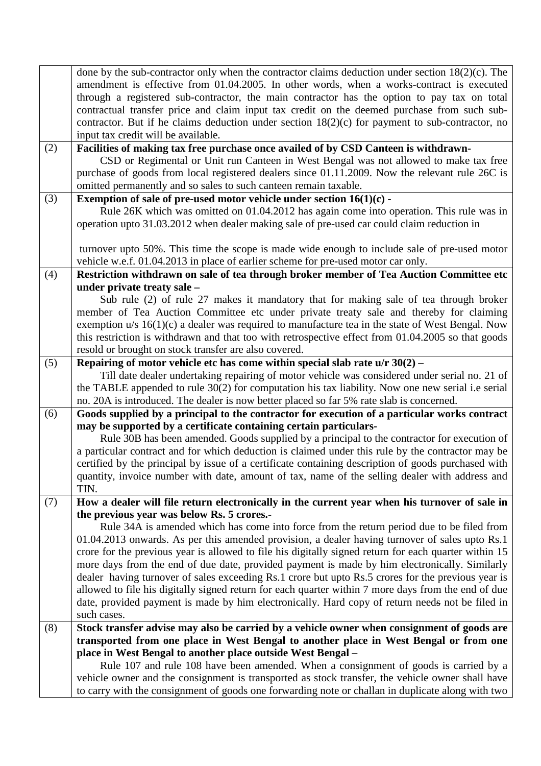|     | done by the sub-contractor only when the contractor claims deduction under section $18(2)(c)$ . The                                                                                      |
|-----|------------------------------------------------------------------------------------------------------------------------------------------------------------------------------------------|
|     | amendment is effective from 01.04.2005. In other words, when a works-contract is executed                                                                                                |
|     | through a registered sub-contractor, the main contractor has the option to pay tax on total                                                                                              |
|     | contractual transfer price and claim input tax credit on the deemed purchase from such sub-                                                                                              |
|     | contractor. But if he claims deduction under section $18(2)(c)$ for payment to sub-contractor, no                                                                                        |
|     | input tax credit will be available.                                                                                                                                                      |
| (2) | Facilities of making tax free purchase once availed of by CSD Canteen is withdrawn-                                                                                                      |
|     | CSD or Regimental or Unit run Canteen in West Bengal was not allowed to make tax free                                                                                                    |
|     | purchase of goods from local registered dealers since 01.11.2009. Now the relevant rule 26C is                                                                                           |
|     | omitted permanently and so sales to such canteen remain taxable.                                                                                                                         |
| (3) | Exemption of sale of pre-used motor vehicle under section $16(1)(c)$ -                                                                                                                   |
|     | Rule 26K which was omitted on 01.04.2012 has again come into operation. This rule was in                                                                                                 |
|     | operation upto 31.03.2012 when dealer making sale of pre-used car could claim reduction in                                                                                               |
|     |                                                                                                                                                                                          |
|     | turnover upto 50%. This time the scope is made wide enough to include sale of pre-used motor                                                                                             |
|     | vehicle w.e.f. 01.04.2013 in place of earlier scheme for pre-used motor car only.                                                                                                        |
| (4) | Restriction withdrawn on sale of tea through broker member of Tea Auction Committee etc                                                                                                  |
|     | under private treaty sale -                                                                                                                                                              |
|     | Sub rule (2) of rule 27 makes it mandatory that for making sale of tea through broker                                                                                                    |
|     | member of Tea Auction Committee etc under private treaty sale and thereby for claiming                                                                                                   |
|     | exemption $u/s$ 16(1)(c) a dealer was required to manufacture tea in the state of West Bengal. Now                                                                                       |
|     | this restriction is withdrawn and that too with retrospective effect from 01.04.2005 so that goods                                                                                       |
|     | resold or brought on stock transfer are also covered.                                                                                                                                    |
| (5) | Repairing of motor vehicle etc has come within special slab rate u/r 30(2) -                                                                                                             |
|     | Till date dealer undertaking repairing of motor vehicle was considered under serial no. 21 of                                                                                            |
|     | the TABLE appended to rule 30(2) for computation his tax liability. Now one new serial i.e serial                                                                                        |
|     | no. 20A is introduced. The dealer is now better placed so far 5% rate slab is concerned.<br>Goods supplied by a principal to the contractor for execution of a particular works contract |
| (6) | may be supported by a certificate containing certain particulars-                                                                                                                        |
|     | Rule 30B has been amended. Goods supplied by a principal to the contractor for execution of                                                                                              |
|     | a particular contract and for which deduction is claimed under this rule by the contractor may be                                                                                        |
|     | certified by the principal by issue of a certificate containing description of goods purchased with                                                                                      |
|     | quantity, invoice number with date, amount of tax, name of the selling dealer with address and                                                                                           |
|     | TIN.                                                                                                                                                                                     |
| (7) | How a dealer will file return electronically in the current year when his turnover of sale in                                                                                            |
|     | the previous year was below Rs. 5 crores.-                                                                                                                                               |
|     | Rule 34A is amended which has come into force from the return period due to be filed from                                                                                                |
|     | 01.04.2013 onwards. As per this amended provision, a dealer having turnover of sales upto Rs.1                                                                                           |
|     | crore for the previous year is allowed to file his digitally signed return for each quarter within 15                                                                                    |
|     | more days from the end of due date, provided payment is made by him electronically. Similarly                                                                                            |
|     | dealer having turnover of sales exceeding Rs.1 crore but upto Rs.5 crores for the previous year is                                                                                       |
|     | allowed to file his digitally signed return for each quarter within 7 more days from the end of due                                                                                      |
|     | date, provided payment is made by him electronically. Hard copy of return needs not be filed in                                                                                          |
|     | such cases.                                                                                                                                                                              |
| (8) | Stock transfer advise may also be carried by a vehicle owner when consignment of goods are                                                                                               |
|     | transported from one place in West Bengal to another place in West Bengal or from one                                                                                                    |
|     | place in West Bengal to another place outside West Bengal -                                                                                                                              |
|     | Rule 107 and rule 108 have been amended. When a consignment of goods is carried by a                                                                                                     |
|     | vehicle owner and the consignment is transported as stock transfer, the vehicle owner shall have                                                                                         |
|     | to carry with the consignment of goods one forwarding note or challan in duplicate along with two                                                                                        |